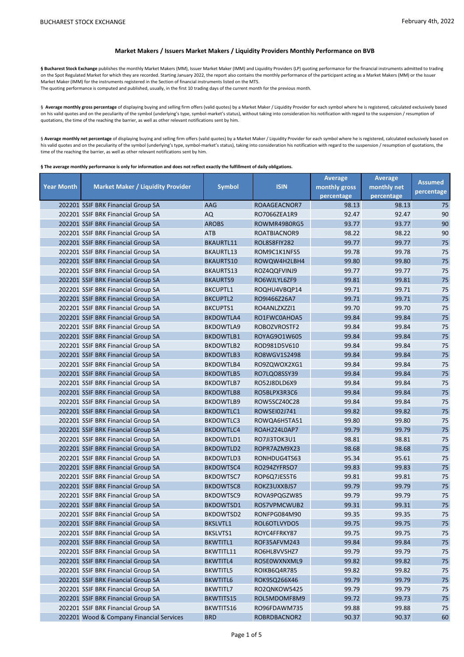## **Market Makers / Issuers Market Makers / Liquidity Providers Monthly Performance on BVB**

§ Bucharest Stock Exchange publishes the monthly Market Makers (MM), Issuer Market Maker (IMM) and Liquidity Providers (LP) quoting performance for the financial instruments admitted to trading on the Spot Regulated Market for which they are recorded. Starting January 2022, the report also contains the monthly performance of the participant acting as a Market Makers (MM) or the Issuer Market Maker (IMM) for the instruments registered in the Section of financial instruments listed on the MTS. The quoting performance is computed and published, usually, in the first 10 trading days of the current month for the previous month.

§ Average monthly gross percentage of displaying buying and selling firm offers (valid quotes) by a Market Maker / Liquidity Provider for each symbol where he is registered, calculated exclusively based on his valid quotes and on the peculiarity of the symbol (underlying's type, symbol-market's status), without taking into consideration his notification with regard to the suspension / resumption of quotations, the time of the reaching the barrier, as well as other relevant notifications sent by him.

§ Average monthly net percentage of displaying buying and selling firm offers (valid quotes) by a Market Maker / Liquidity Provider for each symbol where he is registered, calculated exclusively based on his valid quotes and on the peculiarity of the symbol (underlying's type, symbol-market's status), taking into consideration his notification with regard to the suspension / resumption of quotations, the time of the reaching the barrier, as well as other relevant notifications sent by him.

**§ The average monthly performance is only for information and does not reflect exactly the fulfillment of daily obligations.** 

|                   |                                          |                  |              | <b>Average</b> | <b>Average</b> | <b>Assumed</b> |
|-------------------|------------------------------------------|------------------|--------------|----------------|----------------|----------------|
| <b>Year Month</b> | <b>Market Maker / Liquidity Provider</b> | <b>Symbol</b>    | <b>ISIN</b>  | monthly gross  | monthly net    | percentage     |
|                   |                                          |                  |              | percentage     | percentage     |                |
|                   | 202201 SSIF BRK Financial Group SA       | AAG              | ROAAGEACNOR7 | 98.13          | 98.13          | 75             |
|                   | 202201 SSIF BRK Financial Group SA       | AQ               | RO7066ZEA1R9 | 92.47          | 92.47          | 90             |
|                   | 202201 SSIF BRK Financial Group SA       | <b>AROBS</b>     | ROWMR49B0RG5 | 93.77          | 93.77          | 90             |
|                   | 202201 SSIF BRK Financial Group SA       | <b>ATB</b>       | ROATBIACNOR9 | 98.22          | 98.22          | 90             |
|                   | 202201 SSIF BRK Financial Group SA       | BKAURTL11        | ROL8S8FIY282 | 99.77          | 99.77          | 75             |
|                   | 202201 SSIF BRK Financial Group SA       | BKAURTL13        | ROM9C1K1NFS5 | 99.78          | 99.78          | 75             |
|                   | 202201 SSIF BRK Financial Group SA       | <b>BKAURTS10</b> | ROWQW4H2LBH4 | 99.80          | 99.80          | 75             |
|                   | 202201 SSIF BRK Financial Group SA       | <b>BKAURTS13</b> | ROZ4QQFVINJ9 | 99.77          | 99.77          | 75             |
|                   | 202201 SSIF BRK Financial Group SA       | <b>BKAURTS9</b>  | RO6WJLYL6ZF9 | 99.81          | 99.81          | 75             |
|                   | 202201 SSIF BRK Financial Group SA       | <b>BKCUPTL1</b>  | ROQHU4VBQP14 | 99.71          | 99.71          | 75             |
|                   | 202201 SSIF BRK Financial Group SA       | <b>BKCUPTL2</b>  | RO9I466Z26A7 | 99.71          | 99.71          | 75             |
|                   | 202201 SSIF BRK Financial Group SA       | <b>BKCUPTS1</b>  | RO4ANLZXZZI1 | 99.70          | 99.70          | 75             |
|                   | 202201 SSIF BRK Financial Group SA       | BKDOWTLA4        | RO1FWC0AHOA5 | 99.84          | 99.84          | 75             |
|                   | 202201 SSIF BRK Financial Group SA       | BKDOWTLA9        | ROBOZVROSTF2 | 99.84          | 99.84          | 75             |
|                   | 202201 SSIF BRK Financial Group SA       | <b>BKDOWTLB1</b> | ROYAG901W605 | 99.84          | 99.84          | 75             |
|                   | 202201 SSIF BRK Financial Group SA       | BKDOWTLB2        | ROD981D5V610 | 99.84          | 99.84          | 75             |
|                   | 202201 SSIF BRK Financial Group SA       | <b>BKDOWTLB3</b> | RO8WGV1S2498 | 99.84          | 99.84          | 75             |
|                   | 202201 SSIF BRK Financial Group SA       | <b>BKDOWTLB4</b> | RO9ZQWOX2XG1 | 99.84          | 99.84          | 75             |
|                   | 202201 SSIF BRK Financial Group SA       | <b>BKDOWTLB5</b> | RO7LQO8SSY39 | 99.84          | 99.84          | 75             |
|                   | 202201 SSIF BRK Financial Group SA       | <b>BKDOWTLB7</b> | RO52J8DLD6X9 | 99.84          | 99.84          | 75             |
|                   | 202201 SSIF BRK Financial Group SA       | <b>BKDOWTLB8</b> | RO5BLPX3R3C6 | 99.84          | 99.84          | 75             |
|                   | 202201 SSIF BRK Financial Group SA       | BKDOWTLB9        | ROW5SCZ40C28 | 99.84          | 99.84          | 75             |
|                   | 202201 SSIF BRK Financial Group SA       | BKDOWTLC1        | ROWSE102J741 | 99.82          | 99.82          | 75             |
|                   | 202201 SSIF BRK Financial Group SA       | <b>BKDOWTLC3</b> | ROWQA6H5TA51 | 99.80          | 99.80          | 75             |
|                   | 202201 SSIF BRK Financial Group SA       | BKDOWTLC4        | ROAH224L0AP7 | 99.79          | 99.79          | 75             |
|                   | 202201 SSIF BRK Financial Group SA       | BKDOWTLD1        | RO7JI3TOK3U1 | 98.81          | 98.81          | 75             |
|                   | 202201 SSIF BRK Financial Group SA       | <b>BKDOWTLD2</b> | ROPR7AZM9X23 | 98.68          | 98.68          | 75             |
|                   | 202201 SSIF BRK Financial Group SA       | BKDOWTLD3        | RONHDUG4TS63 | 95.34          | 95.61          | 75             |
|                   | 202201 SSIF BRK Financial Group SA       | BKDOWTSC4        | RO294ZYFRSO7 | 99.83          | 99.83          | 75             |
|                   | 202201 SSIF BRK Financial Group SA       | BKDOWTSC7        | ROP6Q7JES5T6 | 99.81          | 99.81          | 75             |
|                   | 202201 SSIF BRK Financial Group SA       | <b>BKDOWTSC8</b> | ROKZ3UXXBJS7 | 99.79          | 99.79          | 75             |
|                   | 202201 SSIF BRK Financial Group SA       | BKDOWTSC9        | ROVA9PQGZW85 | 99.79          | 99.79          | 75             |
|                   | 202201 SSIF BRK Financial Group SA       | <b>BKDOWTSD1</b> | ROS7VPMCWUB2 | 99.31          | 99.31          | 75             |
|                   | 202201 SSIF BRK Financial Group SA       | <b>BKDOWTSD2</b> | RONFPG084M90 | 99.35          | 99.35          | 75             |
|                   | 202201 SSIF BRK Financial Group SA       | BKSLVTL1         | ROL6OTLVYDO5 | 99.75          | 99.75          | 75             |
|                   | 202201 SSIF BRK Financial Group SA       | BKSLVTS1         | ROYC4FFRKY87 | 99.75          | 99.75          | 75             |
|                   | 202201 SSIF BRK Financial Group SA       | <b>BKWTITL1</b>  | ROF35AFVM243 | 99.84          | 99.84          | 75             |
|                   | 202201 SSIF BRK Financial Group SA       | BKWTITL11        | RO6HL8VVSHZ7 | 99.79          | 99.79          | 75             |
|                   | 202201 SSIF BRK Financial Group SA       | BKWTITL4         | RO5E0WXNXML9 | 99.82          | 99.82          | 75             |
|                   | 202201 SSIF BRK Financial Group SA       | BKWTITL5         | ROIKB6Q4R785 | 99.82          | 99.82          | 75             |
|                   | 202201 SSIF BRK Financial Group SA       | BKWTITL6         | ROK9SQ266X46 | 99.79          | 99.79          | 75             |
|                   | 202201 SSIF BRK Financial Group SA       | BKWTITL7         | RO2QNKOW5425 | 99.79          | 99.79          | 75             |
|                   | 202201 SSIF BRK Financial Group SA       | BKWTITS15        | ROL5MDOMF8M9 | 99.72          | 99.73          | 75             |
|                   | 202201 SSIF BRK Financial Group SA       | BKWTITS16        | RO96FDAWM735 | 99.88          | 99.88          | 75             |
|                   | 202201 Wood & Company Financial Services | <b>BRD</b>       | ROBRDBACNOR2 | 90.37          | 90.37          | 60             |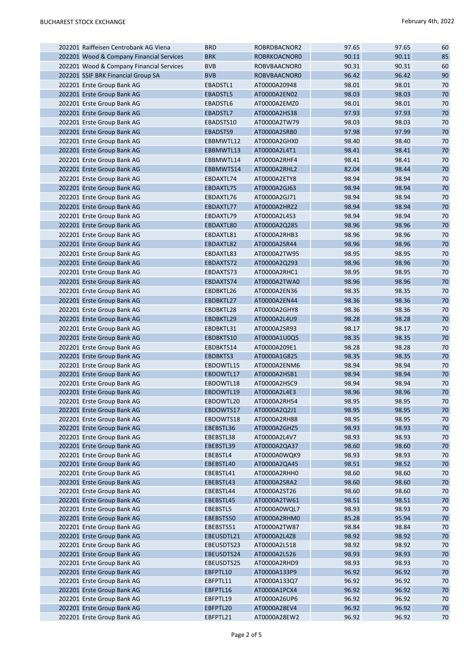| 202201 Raiffeisen Centrobank AG Viena                    | <b>BRD</b>            | ROBRDBACNOR2                 | 97.65          | 97.65          | 60           |
|----------------------------------------------------------|-----------------------|------------------------------|----------------|----------------|--------------|
| 202201 Wood & Company Financial Services                 | <b>BRK</b>            | ROBRKOACNOR0                 | 90.11          | 90.11          | 85           |
| 202201 Wood & Company Financial Services                 | <b>BVB</b>            | ROBVBAACNOR0                 | 90.31          | 90.31          | 60           |
| 202201 SSIF BRK Financial Group SA                       | <b>BVB</b>            | ROBVBAACNOR0                 | 96.42          | 96.42          | 90           |
| 202201 Erste Group Bank AG                               | EBADSTL1              | AT0000A20948                 | 98.01          | 98.01          | 70           |
| 202201 Erste Group Bank AG                               | EBADSTL5              | AT0000A2EN02                 | 98.03          | 98.03          | 70           |
| 202201 Erste Group Bank AG                               | EBADSTL6              | AT0000A2EMZ0                 | 98.01          | 98.01          | 70           |
| 202201 Erste Group Bank AG                               | EBADSTL7              | AT0000A2HS38                 | 97.93          | 97.93          | 70           |
| 202201 Erste Group Bank AG                               | EBADSTS10             | AT0000A2TW79                 | 98.03          | 98.03          | 70           |
| 202201 Erste Group Bank AG                               | EBADSTS9              | AT0000A2SRB0                 | 97.98          | 97.99          | 70           |
| 202201 Erste Group Bank AG                               | EBBMWTL12             | AT0000A2GHX0                 | 98.40          | 98.40          | 70           |
| 202201 Erste Group Bank AG                               | EBBMWTL13             | AT0000A2L4T1                 | 98.41          | 98.41          | 70           |
| 202201 Erste Group Bank AG                               | EBBMWTL14             | AT0000A2RHF4                 | 98.41          | 98.41          | 70           |
| 202201 Erste Group Bank AG                               | EBBMWTS14             | AT0000A2RHL2                 | 82.04          | 98.44          | 70           |
| 202201 Erste Group Bank AG                               | EBDAXTL74             | AT0000A2ETY8                 | 98.94          | 98.94          | 70           |
| 202201 Erste Group Bank AG                               | EBDAXTL75             | AT0000A2GJ63                 | 98.94          | 98.94          | 70           |
| 202201 Erste Group Bank AG                               | EBDAXTL76             | AT0000A2GJ71                 | 98.94          | 98.94          | 70           |
| 202201 Erste Group Bank AG                               | EBDAXTL77             | AT0000A2HRZ2                 | 98.94          | 98.94          | 70           |
| 202201 Erste Group Bank AG                               | EBDAXTL79             | AT0000A2L4S3                 | 98.94          | 98.94          | 70           |
| 202201 Erste Group Bank AG                               | EBDAXTL80             | AT0000A2Q285                 | 98.96          | 98.96          | 70           |
| 202201 Erste Group Bank AG                               | EBDAXTL81             | AT0000A2RHB3                 | 98.96          | 98.96          | 70           |
| 202201 Erste Group Bank AG                               | EBDAXTL82             | AT0000A2SR44                 | 98.96          | 98.96          | 70           |
| 202201 Erste Group Bank AG                               | EBDAXTL83             | AT0000A2TW95                 | 98.95          | 98.95          | 70           |
| 202201 Erste Group Bank AG                               | EBDAXTS72             | AT0000A2Q293                 | 98.96          | 98.96          | 70           |
| 202201 Erste Group Bank AG                               | EBDAXTS73             | AT0000A2RHC1                 | 98.95          | 98.95          | 70           |
| 202201 Erste Group Bank AG                               | EBDAXTS74             | AT0000A2TWA0                 | 98.96          | 98.96          | 70           |
| 202201 Erste Group Bank AG                               | EBDBKTL26             | AT0000A2EN36                 | 98.35          | 98.35          | 70           |
| 202201 Erste Group Bank AG                               | EBDBKTL27             | AT0000A2EN44                 | 98.36          | 98.36          | 70           |
| 202201 Erste Group Bank AG                               | EBDBKTL28             | AT0000A2GHY8                 | 98.36          | 98.36          | 70           |
| 202201 Erste Group Bank AG                               | EBDBKTL29             | AT0000A2L4U9                 | 98.28          | 98.28          | 70           |
| 202201 Erste Group Bank AG                               | EBDBKTL31             | AT0000A2SR93                 | 98.17          | 98.17          | 70           |
| 202201 Erste Group Bank AG                               | EBDBKTS10             | AT0000A1U0Q5                 | 98.35          | 98.35          | 70           |
| 202201 Erste Group Bank AG                               | EBDBKTS14             | AT0000A209E1                 | 98.28          | 98.28          | 70           |
| 202201 Erste Group Bank AG                               | EBDBKTS3              | AT0000A1G825                 | 98.35          | 98.35          | 70           |
| 202201 Erste Group Bank AG                               | EBDOWTL15             | AT0000A2ENM6                 | 98.94          | 98.94          | 70           |
| 202201 Erste Group Bank AG                               | EBDOWTL17             | AT0000A2HSB1                 | 98.94          | 98.94          | 70           |
| 202201 Erste Group Bank AG                               | EBDOWTL18             | AT0000A2HSC9                 | 98.94          | 98.94          | 70           |
| 202201 Erste Group Bank AG                               | EBDOWTL19             | AT0000A2L4E3                 | 98.96          | 98.96          | 70           |
| 202201 Erste Group Bank AG                               | EBDOWTL20             | AT0000A2RH54                 | 98.95          | 98.95          | 70           |
| 202201 Erste Group Bank AG                               | EBDOWTS17             | AT0000A2Q2J1                 | 98.95          | 98.95          | 70           |
| 202201 Erste Group Bank AG                               | EBDOWTS18             | AT0000A2RH88                 | 98.95          | 98.95          | 70           |
| 202201 Erste Group Bank AG                               | EBEBSTL36             | AT0000A2GHZ5                 | 98.93          | 98.93          | 70           |
| 202201 Erste Group Bank AG                               | EBEBSTL38             | AT0000A2L4V7                 | 98.93          | 98.93          | 70           |
| 202201 Erste Group Bank AG                               | EBEBSTL39             | AT0000A2QA37                 | 98.60          | 98.60          | 70           |
| 202201 Erste Group Bank AG                               | EBEBSTL4              | AT0000A0WQK9                 | 98.93          | 98.93          | 70           |
| 202201 Erste Group Bank AG                               | EBEBSTL40             | AT0000A2QA45                 | 98.51          | 98.52          | 70           |
| 202201 Erste Group Bank AG                               | EBEBSTL41             | AT0000A2RHH0                 | 98.60          | 98.60          | 70           |
| 202201 Erste Group Bank AG                               | EBEBSTL43             | AT0000A2SRA2                 | 98.60          | 98.60          | 70           |
| 202201 Erste Group Bank AG<br>202201 Erste Group Bank AG | EBEBSTL44             | AT0000A2ST26<br>AT0000A2TW61 | 98.60<br>98.51 | 98.60<br>98.51 | 70<br>$70\,$ |
| 202201 Erste Group Bank AG                               | EBEBSTL45<br>EBEBSTL5 | AT0000A0WQL7                 | 98.93          | 98.93          | 70           |
| 202201 Erste Group Bank AG                               | EBEBSTS50             | AT0000A2RHM0                 | 85.28          | 95.94          | 70           |
| 202201 Erste Group Bank AG                               | EBEBSTS51             | AT0000A2TW87                 | 98.84          | 98.84          | 70           |
| 202201 Erste Group Bank AG                               | EBEUSDTL21            | AT0000A2L4Z8                 | 98.92          | 98.92          | 70           |
| 202201 Erste Group Bank AG                               | EBEUSDTS23            | AT0000A2L518                 | 98.92          | 98.92          | 70           |
| 202201 Erste Group Bank AG                               | EBEUSDTS24            | AT0000A2L526                 | 98.93          | 98.93          | $70\,$       |
| 202201 Erste Group Bank AG                               | EBEUSDTS25            | AT0000A2RHD9                 | 98.93          | 98.93          | 70           |
| 202201 Erste Group Bank AG                               | EBFPTL10              | AT0000A133P9                 | 96.92          | 96.92          | 70           |
| 202201 Erste Group Bank AG                               | EBFPTL11              | AT0000A133Q7                 | 96.92          | 96.92          | 70           |
| 202201 Erste Group Bank AG                               | EBFPTL16              | AT0000A1PCX4                 | 96.92          | 96.92          | 70           |
| 202201 Erste Group Bank AG                               | EBFPTL19              | AT0000A26UP6                 | 96.92          | 96.92          | 70           |
| 202201 Erste Group Bank AG                               | EBFPTL20              | AT0000A28EV4                 | 96.92          | 96.92          | $70\,$       |
| 202201 Erste Group Bank AG                               | EBFPTL21              | AT0000A28EW2                 | 96.92          | 96.92          | 70           |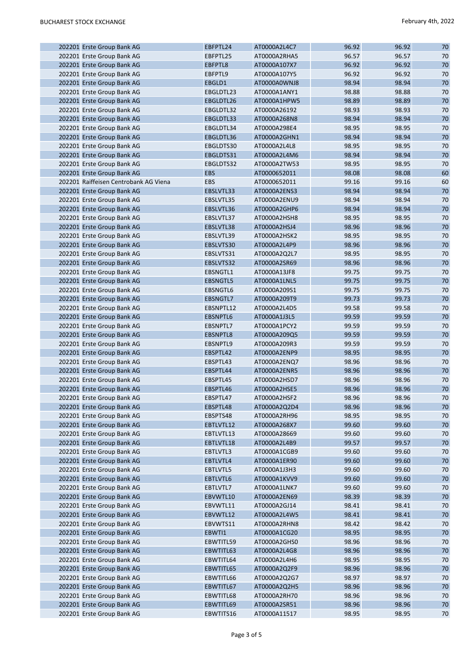|  | 202201 Erste Group Bank AG                               | EBFPTL24        | AT0000A2L4C7 | 96.92 | 96.92 | 70 |
|--|----------------------------------------------------------|-----------------|--------------|-------|-------|----|
|  | 202201 Erste Group Bank AG                               | EBFPTL25        | AT0000A2RHA5 | 96.57 | 96.57 | 70 |
|  | 202201 Erste Group Bank AG                               | EBFPTL8         | AT0000A107X7 | 96.92 | 96.92 | 70 |
|  | 202201 Erste Group Bank AG                               | EBFPTL9         | AT0000A107Y5 | 96.92 | 96.92 | 70 |
|  | 202201 Erste Group Bank AG                               | EBGLD1          | AT0000A0WNJ8 | 98.94 | 98.94 | 70 |
|  | 202201 Erste Group Bank AG                               | EBGLDTL23       | AT0000A1ANY1 | 98.88 | 98.88 | 70 |
|  | 202201 Erste Group Bank AG                               | EBGLDTL26       | AT0000A1HPW5 | 98.89 | 98.89 | 70 |
|  | 202201 Erste Group Bank AG                               | EBGLDTL32       | AT0000A26192 | 98.93 | 98.93 | 70 |
|  | 202201 Erste Group Bank AG                               | EBGLDTL33       | AT0000A268N8 | 98.94 | 98.94 | 70 |
|  | 202201 Erste Group Bank AG                               | EBGLDTL34       | AT0000A298E4 | 98.95 | 98.95 | 70 |
|  | 202201 Erste Group Bank AG                               | EBGLDTL36       | AT0000A2GHN1 | 98.94 | 98.94 | 70 |
|  | 202201 Erste Group Bank AG                               | EBGLDTS30       | AT0000A2L4L8 | 98.95 | 98.95 | 70 |
|  | 202201 Erste Group Bank AG                               | EBGLDTS31       | AT0000A2L4M6 | 98.94 | 98.94 | 70 |
|  | 202201 Erste Group Bank AG                               | EBGLDTS32       | AT0000A2TW53 | 98.95 | 98.95 | 70 |
|  | 202201 Erste Group Bank AG                               | <b>EBS</b>      | AT0000652011 | 98.08 | 98.08 | 60 |
|  | 202201 Raiffeisen Centrobank AG Viena                    | <b>EBS</b>      | AT0000652011 | 99.16 | 99.16 | 60 |
|  | 202201 Erste Group Bank AG                               | EBSLVTL33       | AT0000A2ENS3 | 98.94 | 98.94 | 70 |
|  | 202201 Erste Group Bank AG                               | EBSLVTL35       | AT0000A2ENU9 | 98.94 | 98.94 | 70 |
|  | 202201 Erste Group Bank AG                               | EBSLVTL36       | AT0000A2GHP6 | 98.94 | 98.94 | 70 |
|  | 202201 Erste Group Bank AG                               | EBSLVTL37       | AT0000A2HSH8 | 98.95 | 98.95 | 70 |
|  | 202201 Erste Group Bank AG                               | EBSLVTL38       | AT0000A2HSJ4 | 98.96 | 98.96 | 70 |
|  | 202201 Erste Group Bank AG                               | EBSLVTL39       | AT0000A2HSK2 | 98.95 | 98.95 | 70 |
|  | 202201 Erste Group Bank AG                               | EBSLVTS30       | AT0000A2L4P9 | 98.96 | 98.96 | 70 |
|  |                                                          | EBSLVTS31       | AT0000A2Q2L7 | 98.95 | 98.95 | 70 |
|  | 202201 Erste Group Bank AG<br>202201 Erste Group Bank AG |                 |              | 98.96 | 98.96 | 70 |
|  |                                                          | EBSLVTS32       | AT0000A2SR69 |       |       |    |
|  | 202201 Erste Group Bank AG                               | EBSNGTL1        | AT0000A13JF8 | 99.75 | 99.75 | 70 |
|  | 202201 Erste Group Bank AG                               | <b>EBSNGTL5</b> | AT0000A1LNL5 | 99.75 | 99.75 | 70 |
|  | 202201 Erste Group Bank AG                               | EBSNGTL6        | AT0000A209S1 | 99.75 | 99.75 | 70 |
|  | 202201 Erste Group Bank AG                               | <b>EBSNGTL7</b> | AT0000A209T9 | 99.73 | 99.73 | 70 |
|  | 202201 Erste Group Bank AG                               | EBSNPTL12       | AT0000A2L4D5 | 99.58 | 99.58 | 70 |
|  | 202201 Erste Group Bank AG                               | EBSNPTL6        | AT0000A1J3L5 | 99.59 | 99.59 | 70 |
|  | 202201 Erste Group Bank AG                               | EBSNPTL7        | AT0000A1PCY2 | 99.59 | 99.59 | 70 |
|  | 202201 Erste Group Bank AG                               | EBSNPTL8        | AT0000A209Q5 | 99.59 | 99.59 | 70 |
|  | 202201 Erste Group Bank AG                               | EBSNPTL9        | AT0000A209R3 | 99.59 | 99.59 | 70 |
|  | 202201 Erste Group Bank AG                               | EBSPTL42        | AT0000A2ENP9 | 98.95 | 98.95 | 70 |
|  | 202201 Erste Group Bank AG                               | EBSPTL43        | AT0000A2ENQ7 | 98.96 | 98.96 | 70 |
|  | 202201 Erste Group Bank AG                               | EBSPTL44        | AT0000A2ENR5 | 98.96 | 98.96 | 70 |
|  | 202201 Erste Group Bank AG                               | EBSPTL45        | AT0000A2HSD7 | 98.96 | 98.96 | 70 |
|  | 202201 Erste Group Bank AG                               | EBSPTL46        | AT0000A2HSE5 | 98.96 | 98.96 | 70 |
|  | 202201 Erste Group Bank AG                               | EBSPTL47        | AT0000A2HSF2 | 98.96 | 98.96 | 70 |
|  | 202201 Erste Group Bank AG                               | EBSPTL48        | AT0000A2Q2D4 | 98.96 | 98.96 | 70 |
|  | 202201 Erste Group Bank AG                               | EBSPTS48        | AT0000A2RH96 | 98.95 | 98.95 | 70 |
|  | 202201 Erste Group Bank AG                               | EBTLVTL12       | AT0000A268X7 | 99.60 | 99.60 | 70 |
|  | 202201 Erste Group Bank AG                               | EBTLVTL13       | AT0000A28669 | 99.60 | 99.60 | 70 |
|  | 202201 Erste Group Bank AG                               | EBTLVTL18       | AT0000A2L4B9 | 99.57 | 99.57 | 70 |
|  | 202201 Erste Group Bank AG                               | EBTLVTL3        | AT0000A1CGB9 | 99.60 | 99.60 | 70 |
|  | 202201 Erste Group Bank AG                               | EBTLVTL4        | AT0000A1ER90 | 99.60 | 99.60 | 70 |
|  | 202201 Erste Group Bank AG                               | EBTLVTL5        | AT0000A1J3H3 | 99.60 | 99.60 | 70 |
|  | 202201 Erste Group Bank AG                               | EBTLVTL6        | AT0000A1KVV9 | 99.60 | 99.60 | 70 |
|  | 202201 Erste Group Bank AG                               | EBTLVTL7        | AT0000A1LNK7 | 99.60 | 99.60 | 70 |
|  | 202201 Erste Group Bank AG                               | EBVWTL10        | AT0000A2EN69 | 98.39 | 98.39 | 70 |
|  | 202201 Erste Group Bank AG                               | EBVWTL11        | AT0000A2GJ14 | 98.41 | 98.41 | 70 |
|  | 202201 Erste Group Bank AG                               | EBVWTL12        | AT0000A2L4W5 | 98.41 | 98.41 | 70 |
|  | 202201 Erste Group Bank AG                               | EBVWTS11        | AT0000A2RHN8 | 98.42 | 98.42 | 70 |
|  | 202201 Erste Group Bank AG                               | EBWTI1          | AT0000A1CG20 | 98.95 | 98.95 | 70 |
|  | 202201 Erste Group Bank AG                               | EBWTITL59       | AT0000A2GHS0 | 98.96 | 98.96 | 70 |
|  | 202201 Erste Group Bank AG                               | EBWTITL63       | AT0000A2L4G8 | 98.96 | 98.96 | 70 |
|  | 202201 Erste Group Bank AG                               | EBWTITL64       | AT0000A2L4H6 | 98.95 | 98.95 | 70 |
|  | 202201 Erste Group Bank AG                               | EBWTITL65       | AT0000A2Q2F9 | 98.96 | 98.96 | 70 |
|  | 202201 Erste Group Bank AG                               | EBWTITL66       | AT0000A2Q2G7 | 98.97 | 98.97 | 70 |
|  | 202201 Erste Group Bank AG                               | EBWTITL67       | AT0000A2Q2H5 | 98.96 | 98.96 | 70 |
|  | 202201 Erste Group Bank AG                               | EBWTITL68       | AT0000A2RH70 | 98.96 | 98.96 | 70 |
|  | 202201 Erste Group Bank AG                               | EBWTITL69       | AT0000A2SR51 | 98.96 | 98.96 | 70 |
|  | 202201 Erste Group Bank AG                               | EBWTITS16       | AT0000A11517 | 98.95 | 98.95 | 70 |
|  |                                                          |                 |              |       |       |    |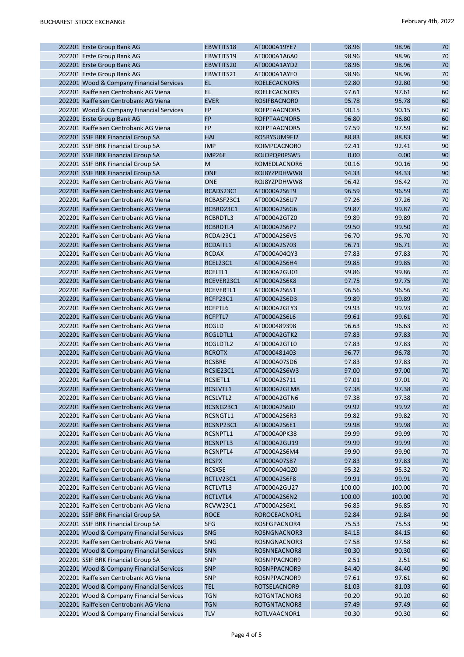|  | 202201 Erste Group Bank AG               | EBWTITS18     | AT0000A19YE7 | 98.96  | 98.96  | 70     |
|--|------------------------------------------|---------------|--------------|--------|--------|--------|
|  | 202201 Erste Group Bank AG               | EBWTITS19     | AT0000A1A6A0 | 98.96  | 98.96  | 70     |
|  | 202201 Erste Group Bank AG               | EBWTITS20     | AT0000A1AYD2 | 98.96  | 98.96  | 70     |
|  | 202201 Erste Group Bank AG               | EBWTITS21     | AT0000A1AYE0 | 98.96  | 98.96  | 70     |
|  | 202201 Wood & Company Financial Services | <b>EL</b>     | ROELECACNOR5 | 92.80  | 92.80  | 90     |
|  | 202201 Raiffeisen Centrobank AG Viena    | <b>EL</b>     | ROELECACNOR5 | 97.61  | 97.61  | 60     |
|  | 202201 Raiffeisen Centrobank AG Viena    | <b>EVER</b>   | ROSIFBACNOR0 | 95.78  | 95.78  | 60     |
|  | 202201 Wood & Company Financial Services | FP            | ROFPTAACNOR5 | 90.15  | 90.15  | 60     |
|  | 202201 Erste Group Bank AG               | <b>FP</b>     | ROFPTAACNOR5 | 96.80  | 96.80  | 60     |
|  | 202201 Raiffeisen Centrobank AG Viena    | <b>FP</b>     | ROFPTAACNOR5 | 97.59  | 97.59  | 60     |
|  | 202201 SSIF BRK Financial Group SA       | HAI           | RO5RYSUM9FJ2 | 88.83  | 88.83  | 90     |
|  | 202201 SSIF BRK Financial Group SA       | <b>IMP</b>    | ROIMPCACNOR0 | 92.41  | 92.41  | 90     |
|  | 202201 SSIF BRK Financial Group SA       | IMP26E        | ROJOPQP0PSW5 | 0.00   | 0.00   | 90     |
|  | 202201 SSIF BRK Financial Group SA       | M             | ROMEDLACNOR6 | 90.16  | 90.16  | 90     |
|  | 202201 SSIF BRK Financial Group SA       | <b>ONE</b>    | ROJ8YZPDHWW8 | 94.33  | 94.33  | 90     |
|  |                                          |               |              |        |        |        |
|  | 202201 Raiffeisen Centrobank AG Viena    | <b>ONE</b>    | ROJ8YZPDHWW8 | 96.42  | 96.42  | 70     |
|  | 202201 Raiffeisen Centrobank AG Viena    | RCADS23C1     | AT0000A2S6T9 | 96.59  | 96.59  | 70     |
|  | 202201 Raiffeisen Centrobank AG Viena    | RCBASF23C1    | AT0000A2S6U7 | 97.26  | 97.26  | 70     |
|  | 202201 Raiffeisen Centrobank AG Viena    | RCBRD23C1     | AT0000A2S6G6 | 99.87  | 99.87  | 70     |
|  | 202201 Raiffeisen Centrobank AG Viena    | RCBRDTL3      | AT0000A2GTZ0 | 99.89  | 99.89  | 70     |
|  | 202201 Raiffeisen Centrobank AG Viena    | RCBRDTL4      | AT0000A2S6P7 | 99.50  | 99.50  | 70     |
|  | 202201 Raiffeisen Centrobank AG Viena    | RCDAI23C1     | AT0000A2S6V5 | 96.70  | 96.70  | 70     |
|  | 202201 Raiffeisen Centrobank AG Viena    | RCDAITL1      | AT0000A2S703 | 96.71  | 96.71  | 70     |
|  | 202201 Raiffeisen Centrobank AG Viena    | <b>RCDAX</b>  | AT0000A04QY3 | 97.83  | 97.83  | 70     |
|  | 202201 Raiffeisen Centrobank AG Viena    | RCEL23C1      | AT0000A2S6H4 | 99.85  | 99.85  | 70     |
|  | 202201 Raiffeisen Centrobank AG Viena    | RCELTL1       | AT0000A2GU01 | 99.86  | 99.86  | 70     |
|  | 202201 Raiffeisen Centrobank AG Viena    | RCEVER23C1    | AT0000A2S6K8 | 97.75  | 97.75  | 70     |
|  | 202201 Raiffeisen Centrobank AG Viena    | RCEVERTL1     | AT0000A2S6S1 | 96.56  | 96.56  | 70     |
|  | 202201 Raiffeisen Centrobank AG Viena    | RCFP23C1      | AT0000A2S6D3 | 99.89  | 99.89  | 70     |
|  | 202201 Raiffeisen Centrobank AG Viena    | RCFPTL6       | AT0000A2GTY3 | 99.93  | 99.93  | 70     |
|  | 202201 Raiffeisen Centrobank AG Viena    | RCFPTL7       | AT0000A2S6L6 | 99.61  | 99.61  | 70     |
|  | 202201 Raiffeisen Centrobank AG Viena    | <b>RCGLD</b>  | AT0000489398 | 96.63  | 96.63  | 70     |
|  | 202201 Raiffeisen Centrobank AG Viena    | RCGLDTL1      | AT0000A2GTK2 | 97.83  | 97.83  | 70     |
|  | 202201 Raiffeisen Centrobank AG Viena    | RCGLDTL2      | AT0000A2GTL0 | 97.83  | 97.83  | 70     |
|  | 202201 Raiffeisen Centrobank AG Viena    | <b>RCROTX</b> | AT0000481403 | 96.77  | 96.78  | 70     |
|  | 202201 Raiffeisen Centrobank AG Viena    | <b>RCSBRE</b> | AT0000A07SD6 | 97.83  | 97.83  | 70     |
|  | 202201 Raiffeisen Centrobank AG Viena    | RCSIE23C1     | AT0000A2S6W3 | 97.00  | 97.00  | 70     |
|  | 202201 Raiffeisen Centrobank AG Viena    | RCSIETL1      | AT0000A2S711 | 97.01  | 97.01  | 70     |
|  | 202201 Raiffeisen Centrobank AG Viena    | RCSLVTL1      | AT0000A2GTM8 | 97.38  | 97.38  | $70\,$ |
|  | 202201 Raiffeisen Centrobank AG Viena    | RCSLVTL2      | AT0000A2GTN6 | 97.38  | 97.38  | 70     |
|  | 202201 Raiffeisen Centrobank AG Viena    | RCSNG23C1     | AT0000A2S6J0 | 99.92  | 99.92  | 70     |
|  | 202201 Raiffeisen Centrobank AG Viena    | RCSNGTL1      | AT0000A2S6R3 | 99.82  | 99.82  | 70     |
|  | 202201 Raiffeisen Centrobank AG Viena    | RCSNP23C1     | AT0000A2S6E1 | 99.98  | 99.98  | 70     |
|  | 202201 Raiffeisen Centrobank AG Viena    | RCSNPTL1      | AT0000A0PK38 | 99.99  | 99.99  | 70     |
|  | 202201 Raiffeisen Centrobank AG Viena    | RCSNPTL3      | AT0000A2GU19 | 99.99  | 99.99  | 70     |
|  | 202201 Raiffeisen Centrobank AG Viena    | RCSNPTL4      | AT0000A2S6M4 | 99.90  | 99.90  | 70     |
|  | 202201 Raiffeisen Centrobank AG Viena    | <b>RCSPX</b>  | AT0000A07S87 | 97.83  | 97.83  | 70     |
|  | 202201 Raiffeisen Centrobank AG Viena    | RCSX5E        | AT0000A04QZ0 | 95.32  | 95.32  | 70     |
|  | 202201 Raiffeisen Centrobank AG Viena    | RCTLV23C1     | AT0000A2S6F8 | 99.91  | 99.91  | 70     |
|  | 202201 Raiffeisen Centrobank AG Viena    | RCTLVTL3      | AT0000A2GU27 | 100.00 | 100.00 | 70     |
|  | 202201 Raiffeisen Centrobank AG Viena    | RCTLVTL4      | AT0000A2S6N2 | 100.00 | 100.00 | 70     |
|  | 202201 Raiffeisen Centrobank AG Viena    | RCVW23C1      | AT0000A2S6X1 | 96.85  | 96.85  | 70     |
|  | 202201 SSIF BRK Financial Group SA       | <b>ROCE</b>   | ROROCEACNOR1 | 92.84  | 92.84  | 90     |
|  | 202201 SSIF BRK Financial Group SA       | <b>SFG</b>    | ROSFGPACNOR4 | 75.53  | 75.53  | 90     |
|  | 202201 Wood & Company Financial Services | <b>SNG</b>    | ROSNGNACNOR3 | 84.15  | 84.15  | 60     |
|  | 202201 Raiffeisen Centrobank AG Viena    |               |              |        |        |        |
|  |                                          | <b>SNG</b>    | ROSNGNACNOR3 | 97.58  | 97.58  | 60     |
|  | 202201 Wood & Company Financial Services | SNN           | ROSNNEACNOR8 | 90.30  | 90.30  | 60     |
|  | 202201 SSIF BRK Financial Group SA       | <b>SNP</b>    | ROSNPPACNOR9 | 2.51   | 2.51   | 60     |
|  | 202201 Wood & Company Financial Services | <b>SNP</b>    | ROSNPPACNOR9 | 84.40  | 84.40  | 90     |
|  | 202201 Raiffeisen Centrobank AG Viena    | <b>SNP</b>    | ROSNPPACNOR9 | 97.61  | 97.61  | 60     |
|  | 202201 Wood & Company Financial Services | <b>TEL</b>    | ROTSELACNOR9 | 81.03  | 81.03  | 60     |
|  | 202201 Wood & Company Financial Services | <b>TGN</b>    | ROTGNTACNOR8 | 90.20  | 90.20  | 60     |
|  | 202201 Raiffeisen Centrobank AG Viena    | <b>TGN</b>    | ROTGNTACNOR8 | 97.49  | 97.49  | 60     |
|  | 202201 Wood & Company Financial Services | <b>TLV</b>    | ROTLVAACNOR1 | 90.30  | 90.30  | 60     |